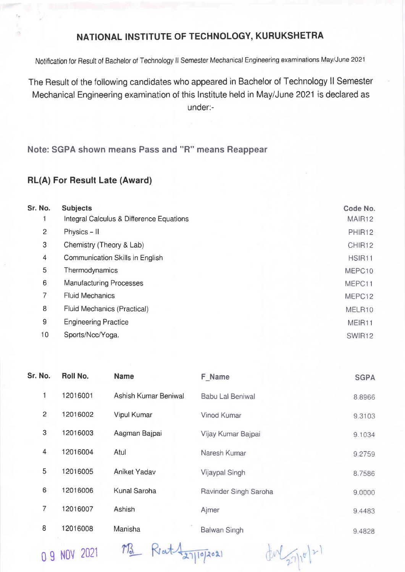## NATIONAL INSTITUTE OF TECHNOLOGY, KURUKSHETRA

Notification for Result of Bachelor of Technology ll Semester Mechanical Engineering examinations May/June <sup>2021</sup>

The Result of the following candidates who appeared in Bachelor of Technology ll Semester Mechanical Engineering examination of this lnstitute held in May/June 2021 is declared as under:-

Note: SGPA shown means Pass and "R" means Reappear

## RL(A) For Result Late (Award)

| Sr. No.        | <b>Subjects</b>                          | Code No. |
|----------------|------------------------------------------|----------|
|                | Integral Calculus & Difference Equations | MAIR12   |
| $\overline{c}$ | Physics - II                             | PHIR12   |
| 3              | Chemistry (Theory & Lab)                 | CHIR12   |
| $\overline{4}$ | Communication Skills in English          | HSIR11   |
| 5              | Thermodynamics                           | MEPC10   |
| 6              | <b>Manufacturing Processes</b>           | MEPC11   |
| 7              | <b>Fluid Mechanics</b>                   | MEPC12   |
| 8              | Fluid Mechanics (Practical)              | MELR10   |
| 9              | <b>Engineering Practice</b>              | MEIR11   |
| 10             | Sports/Ncc/Yoga.                         | SWIR12   |

| Sr. No.        | Roll No. | <b>Name</b>          | F Name                  | <b>SGPA</b> |
|----------------|----------|----------------------|-------------------------|-------------|
| 1              | 12016001 | Ashish Kumar Beniwal | <b>Babu Lal Beniwal</b> | 8.8966      |
| $\overline{c}$ | 12016002 | <b>Vipul Kumar</b>   | Vinod Kumar             | 9.3103      |
| 3              | 12016003 | Aagman Bajpai        | Vijay Kumar Bajpai      | 9.1034      |
| $\overline{4}$ | 12016004 | Atul                 | Naresh Kumar            | 9.2759      |
| 5              | 12016005 | Aniket Yadav         | Vijaypal Singh          | 8.7586      |
| 6              | 12016006 | Kunal Saroha         | Ravinder Singh Saroha   | 9.0000      |
| 7              | 12016007 | <b>Ashish</b>        | Ajmer                   | 9.4483      |
| 8              | 12016008 | Manisha              | <b>Balwan Singh</b>     | 9.4828      |
|                |          |                      |                         |             |

0 g Nov <sup>2021</sup>

M3 ReatA27/10/2021

 $dM_{27}^{16}$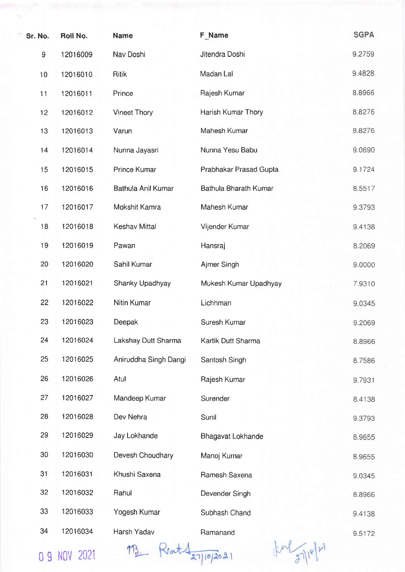| Sr. No.          | Roll No. | <b>Name</b>           | F Name                   | <b>SGPA</b> |
|------------------|----------|-----------------------|--------------------------|-------------|
| $\boldsymbol{9}$ | 12016009 | Nav Doshi             | Jitendra Doshi           | 9.2759      |
| 10               | 12016010 | <b>Ritik</b>          | Madan Lal                | 9.4828      |
| 11               | 12016011 | Prince                | Rajesh Kumar             | 8.8966      |
| 12               | 12016012 | <b>Vineet Thory</b>   | Harish Kumar Thory       | 8.8276      |
| 13               | 12016013 | Varun                 | Mahesh Kumar             | 8.8276      |
| 14               | 12016014 | Nunna Jayasri         | Nunna Yesu Babu          | 9.0690      |
| 15               | 12016015 | <b>Prince Kumar</b>   | Prabhakar Prasad Gupta   | 9.1724      |
| 16               | 12016016 | Bathula Anil Kumar    | Bathula Bharath Kumar    | 8.5517      |
| 17               | 12016017 | Mokshit Kamra         | Mahesh Kumar             | 9.3793      |
| 18               | 12016018 | <b>Keshav Mittal</b>  | Vijender Kumar           | 9.4138      |
| 19               | 12016019 | Pawan                 | Hansraj                  | 8.2069      |
| 20               | 12016020 | Sahil Kumar           | Ajmer Singh              | 9.0000      |
| 21               | 12016021 | Shanky Upadhyay       | Mukesh Kumar Upadhyay    | 7.9310      |
| 22               | 12016022 | Nitin Kumar           | Lichhman                 | 9.0345      |
| 23               | 12016023 | Deepak                | Suresh Kumar             | 9.2069      |
| 24               | 12016024 | Lakshay Dutt Sharma   | Kartik Dutt Sharma       | 8.8966      |
| 25               | 12016025 | Aniruddha Singh Dangi | Santosh Singh            | 8.7586      |
| 26               | 12016026 | Atul                  | Rajesh Kumar             | 9.7931      |
| 27               | 12016027 | Mandeep Kumar         | Surender                 | 8.4138      |
| 28               | 12016028 | Dev Nehra             | Sunil                    | 9.3793      |
| 29               | 12016029 | Jay Lokhande          | <b>Bhagavat Lokhande</b> | 8.9655      |
| 30               | 12016030 | Devesh Choudhary      | Manoj Kumar              | 8.9655      |
| 31               | 12016031 | Khushi Saxena         | Ramesh Saxena            | 9.0345      |
| 32               | 12016032 | Rahul                 | Devender Singh           | 8.8966      |
| 33               | 12016033 | Yogesh Kumar          | Subhash Chand            | 9.4138      |
| 34               | 12016034 | Harsh Yadav           | Ramanand                 | 9.5172      |
|                  |          |                       |                          |             |

0 9 NOV 2021 M3. Krat 27/10/2021

 $f^{\mu\nu}$  27/10/21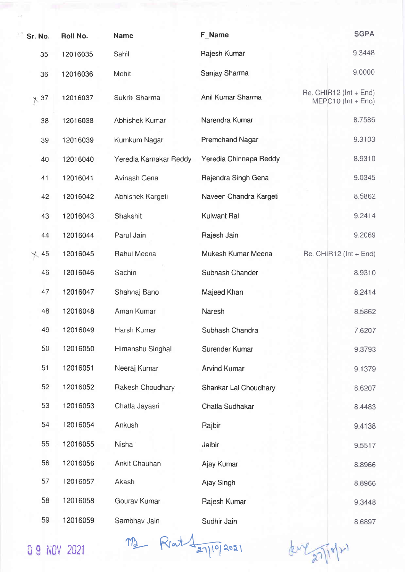| Sr. No.     | Roll No. | <b>Name</b>            | F Name                 | <b>SGPA</b>                                          |
|-------------|----------|------------------------|------------------------|------------------------------------------------------|
| 35          | 12016035 | Sahil                  | Rajesh Kumar           | 9.3448                                               |
| 36          | 12016036 | Mohit                  | Sanjay Sharma          | 9.0000                                               |
| $\times$ 37 | 12016037 | Sukriti Sharma         | Anil Kumar Sharma      | $Re.$ CHIR12 ( $Int + End$ )<br>$MEPC10$ (Int + End) |
| 38          | 12016038 | Abhishek Kumar         | Narendra Kumar         | 8.7586                                               |
| 39          | 12016039 | Kumkum Nagar           | <b>Premchand Nagar</b> | 9.3103                                               |
| 40          | 12016040 | Yeredla Karnakar Reddy | Yeredla Chinnapa Reddy | 8.9310                                               |
| 41          | 12016041 | Avinash Gena           | Rajendra Singh Gena    | 9.0345                                               |
| 42          | 12016042 | Abhishek Kargeti       | Naveen Chandra Kargeti | 8.5862                                               |
| 43          | 12016043 | Shakshit               | Kulwant Rai            | 9.2414                                               |
| 44          | 12016044 | Parul Jain             | Rajesh Jain            | 9.2069                                               |
| $\sim$ 45   | 12016045 | Rahul Meena            | Mukesh Kumar Meena     | Re. CHIR12 (Int + End)                               |
| 46          | 12016046 | Sachin                 | Subhash Chander        | 8.9310                                               |
| 47          | 12016047 | Shahnaj Bano           | Majeed Khan            | 8.2414                                               |
| 48          | 12016048 | Aman Kumar             | Naresh                 | 8.5862                                               |
| 49          | 12016049 | Harsh Kumar            | Subhash Chandra        | 7.6207                                               |
| 50          | 12016050 | Himanshu Singhal       | Surender Kumar         | 9.3793                                               |
| 51          | 12016051 | Neeraj Kumar           | <b>Arvind Kumar</b>    | 9.1379                                               |
| 52          | 12016052 | Rakesh Choudhary       | Shankar Lal Choudhary  | 8.6207                                               |
| 53          | 12016053 | Chatla Jayasri         | Chatla Sudhakar        | 8.4483                                               |
| 54          | 12016054 | Ankush                 | Rajbir                 | 9.4138                                               |
| 55          | 12016055 | <b>Nisha</b>           | Jaibir                 | 9.5517                                               |
| 56          | 12016056 | Ankit Chauhan          | Ajay Kumar             | 8.8966                                               |
| 57          | 12016057 | Akash                  | Ajay Singh             | 8.8966                                               |
| 58          | 12016058 | Gourav Kumar           | Rajesh Kumar           | 9.3448                                               |
| 59          | 12016059 | Sambhav Jain           | Sudhir Jain            | 8.6897                                               |

09 NOV 2021 M2 Rrat 1 27/19/2021

kul 27/10/21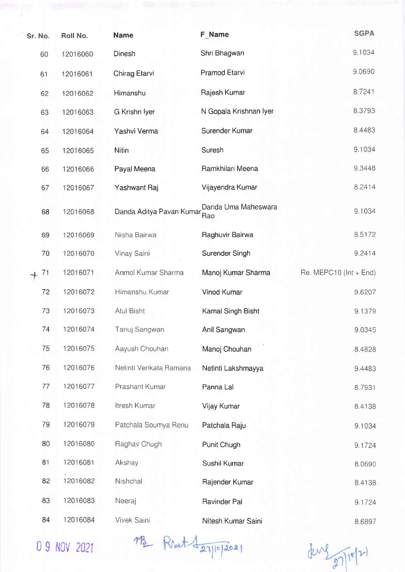| Sr. No. | Roll No. | <b>Name</b>              | F Name                     | <b>SGPA</b>                |
|---------|----------|--------------------------|----------------------------|----------------------------|
| 60      | 12016060 | Dinesh                   | Shri Bhagwan               | 9.1034                     |
| 61      | 12016061 | Chirag Etarvi            | Pramod Etarvi              | 9.0690                     |
| 62      | 12016062 | Himanshu                 | Rajesh Kumar               | 8.7241                     |
| 63      | 12016063 | G Krishn Iyer            | N Gopala Krishnan Iyer     | 8.3793                     |
| 64      | 12016064 | Yashvi Verma             | Surender Kumar             | 8.4483                     |
| 65      | 12016065 | Nitin                    | Suresh                     | 9.1034                     |
| 66      | 12016066 | Payal Meena              | Ramkhilari Meena           | 9.3448                     |
| 67      | 12016067 | Yashwant Raj             | Vijayendra Kumar           | 8.2414                     |
| 68      | 12016068 | Danda Aditya Pavan Kumar | Danda Uma Maheswara<br>Rao | 9.1034                     |
| 69      | 12016069 | Nisha Bairwa             | Raghuvir Bairwa            | 8.5172                     |
| 70      | 12016070 | Vinay Saini              | <b>Surender Singh</b>      | 9.2414                     |
| 71      | 12016071 | Anmol Kumar Sharma       | Manoj Kumar Sharma         | Re. MEPC10 ( $Int + End$ ) |
| 72      | 12016072 | Himanshu Kumar           | <b>Vinod Kumar</b>         | 9.6207                     |
| 73      | 12016073 | <b>Atul Bisht</b>        | Kamal Singh Bisht          | 9.1379                     |
| 74      | 12016074 | Tanuj Sangwan            | Anil Sangwan               | 9.0345                     |
| 75      | 12016075 | Aayush Chouhan           | Manoj Chouhan              | 8.4828                     |
| 76      | 12016076 | Netinti Venkata Ramana   | Netinti Lakshmayya         | 9.4483                     |
| 77      | 12016077 | Prashant Kumar           | Panna Lal                  | 8.7931                     |
| 78      | 12016078 | Itresh Kumar             | Vijay Kumar                | 8.4138                     |
| 79      | 12016079 | Patchala Soumya Renu     | Patchala Raju              | 9.1034                     |
| 80      | 12016080 | Raghav Chugh             | Punit Chugh                | 9.1724                     |
| 81      | 12016081 | Akshay                   | Sushil Kumar               | 8.0690                     |
| 82      | 12016082 | Nishchal                 | Rajender Kumar             | 8.4138                     |
| 83      | 12016083 | Neeraj                   | Ravinder Pal               | 9.1724                     |
| 84      | 12016084 | Vivek Saini              | Nitesh Kumar Saini         | 8.6897                     |

0 g llov 202t

Mrs. Reat despropries

den 2 27/10/21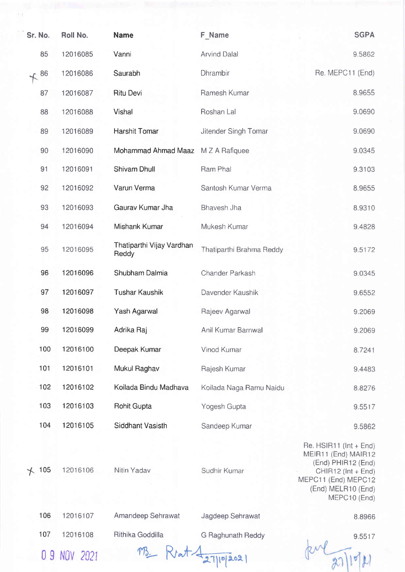| Sr. No.    | Roll No. | <b>Name</b>                        | F Name                   | <b>SGPA</b>                                                                     |
|------------|----------|------------------------------------|--------------------------|---------------------------------------------------------------------------------|
| 85         | 12016085 | Vanni                              | <b>Arvind Dalal</b>      | 9.5862                                                                          |
| 86         | 12016086 | Saurabh                            | Dhrambir                 | Re. MEPC11 (End)                                                                |
| 87         | 12016087 | <b>Ritu Devi</b>                   | Ramesh Kumar             | 8.9655                                                                          |
| 88         | 12016088 | <b>Vishal</b>                      | Roshan Lal               | 9.0690                                                                          |
| 89         | 12016089 | Harshit Tomar                      | Jitender Singh Tomar     | 9.0690                                                                          |
| 90         | 12016090 | Mohammad Ahmad Maaz                | M Z A Rafiquee           | 9.0345                                                                          |
| 91         | 12016091 | <b>Shivam Dhull</b>                | Ram Phal                 | 9.3103                                                                          |
| 92         | 12016092 | Varun Verma                        | Santosh Kumar Verma      | 8.9655                                                                          |
| 93         | 12016093 | Gaurav Kumar Jha                   | Bhavesh Jha              | 8.9310                                                                          |
| 94         | 12016094 | Mishank Kumar                      | Mukesh Kumar             | 9.4828                                                                          |
| 95         | 12016095 | Thatiparthi Vijay Vardhan<br>Reddy | Thatiparthi Brahma Reddy | 9.5172                                                                          |
| 96         | 12016096 | Shubham Dalmia                     | Chander Parkash          | 9.0345                                                                          |
| 97         | 12016097 | <b>Tushar Kaushik</b>              | Davender Kaushik         | 9.6552                                                                          |
| 98         | 12016098 | Yash Agarwal                       | Rajeev Agarwal           | 9.2069                                                                          |
| 99         | 12016099 | Adrika Raj                         | Anil Kumar Barnwal       | 9.2069                                                                          |
| 100        | 12016100 | Deepak Kumar                       | Vinod Kumar              | 8.7241                                                                          |
| 101        | 12016101 | Mukul Raghav                       | Rajesh Kumar             | 9.4483                                                                          |
| 102        | 12016102 | Koilada Bindu Madhava              | Koilada Naga Ramu Naidu  | 8.8276                                                                          |
| 103        | 12016103 | <b>Rohit Gupta</b>                 | Yogesh Gupta             | 9.5517                                                                          |
| 104        | 12016105 | <b>Siddhant Vasisth</b>            | Sandeep Kumar            | 9.5862                                                                          |
|            |          |                                    |                          | Re. $HSIR11$ (Int + End)<br>MEIR11 (End) MAIR12<br>(End) PHIR12 (End)           |
| 105<br>$+$ | 12016106 | Nitin Yadav                        | Sudhir Kumar             | CHIR12 (Int + End)<br>MEPC11 (End) MEPC12<br>(End) MELR10 (End)<br>MEPC10 (End) |
| 106        | 12016107 | Amandeep Sehrawat                  | Jagdeep Sehrawat         | 8.8966                                                                          |
| 107        | 12016108 | Rithika Goddilla                   |                          |                                                                                 |
|            |          |                                    | <b>G Raghunath Reddy</b> | 9.5517                                                                          |

 $\sqrt{27151}$ 

 $t Rvat 427/10/2021$ 

0 9 NOV 2021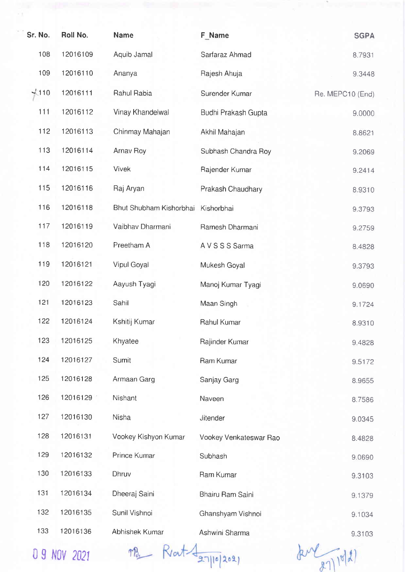| Sr. No. | Roll No. | <b>Name</b>             | F Name                 | <b>SGPA</b>      |
|---------|----------|-------------------------|------------------------|------------------|
| 108     | 12016109 | Aquib Jamal             | Sarfaraz Ahmad         | 8.7931           |
| 109     | 12016110 | Ananya                  | Rajesh Ahuja           | 9.3448           |
| 4110    | 12016111 | Rahul Rabia             | Surender Kumar         | Re. MEPC10 (End) |
| 111     | 12016112 | Vinay Khandelwal        | Budhi Prakash Gupta    | 9.0000           |
| 112     | 12016113 | Chinmay Mahajan         | Akhil Mahajan          | 8.8621           |
| 113     | 12016114 | Arnav Roy               | Subhash Chandra Roy    | 9.2069           |
| 114     | 12016115 | <b>Vivek</b>            | Rajender Kumar         | 9.2414           |
| 115     | 12016116 | Raj Aryan               | Prakash Chaudhary      | 8.9310           |
| 116     | 12016118 | Bhut Shubham Kishorbhai | Kishorbhai             | 9.3793           |
| 117     | 12016119 | Vaibhav Dharmani        | Ramesh Dharmani        | 9.2759           |
| 118     | 12016120 | Preetham A              | A V S S S Sarma        | 8.4828           |
| 119     | 12016121 | Vipul Goyal             | Mukesh Goyal           | 9.3793           |
| 120     | 12016122 | Aayush Tyagi            | Manoj Kumar Tyagi      | 9.0690           |
| 121     | 12016123 | Sahil                   | Maan Singh             | 9.1724           |
| 122     | 12016124 | Kshitij Kumar           | Rahul Kumar            | 8.9310           |
| 123     | 12016125 | Khyatee                 | Rajinder Kumar         | 9.4828           |
| 124     | 12016127 | Sumit                   | Ram Kumar              | 9.5172           |
| 125     | 12016128 | Armaan Garg             | Sanjay Garg            | 8.9655           |
| 126     | 12016129 | Nishant                 | Naveen                 | 8.7586           |
| 127     | 12016130 | Nisha                   | Jitender               | 9.0345           |
| 128     | 12016131 | Vookey Kishyon Kumar    | Vookey Venkateswar Rao | 8.4828           |
| 129     | 12016132 | Prince Kumar            | Subhash                | 9.0690           |
| 130     | 12016133 | Dhruv                   | Ram Kumar              | 9.3103           |
| 131     | 12016134 | Dheeraj Saini           | Bhairu Ram Saini       | 9.1379           |
| 132     | 12016135 | Sunil Vishnoi           | Ghanshyam Vishnoi      | 9.1034           |
| 133     | 12016136 | Abhishek Kumar          | Ashwini Sharma         | 9.3103           |

0 9 NOV 2021

M3 Rent 127/10/2021

 $2010(2)$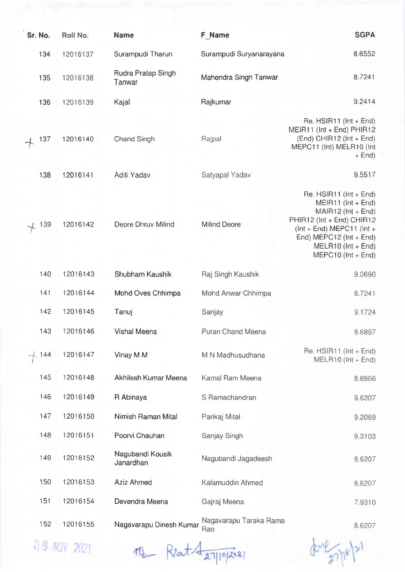| Sr. No. | Roll No. | <b>Name</b>                   | <b>F</b> Name                 | <b>SGPA</b>                                                                                                                                                                                                                    |
|---------|----------|-------------------------------|-------------------------------|--------------------------------------------------------------------------------------------------------------------------------------------------------------------------------------------------------------------------------|
| 134     | 12016137 | Surampudi Tharun              | Surampudi Suryanarayana       | 8.6552                                                                                                                                                                                                                         |
| 135     | 12016138 | Rudra Pratap Singh<br>Tanwar  | Mahendra Singh Tanwar         | 8.7241                                                                                                                                                                                                                         |
| 136     | 12016139 | Kajal                         | Rajkumar                      | 9.2414                                                                                                                                                                                                                         |
| 137     | 12016140 | Chand Singh                   | Rajpal                        | Re. $HSIR11$ ( $Int + End$ )<br>$MEIR11$ (Int + End) PHIR12<br>$(End)$ CHIR12 (Int + End)<br>MEPC11 (Int) MELR10 (Int<br>$+$ End)                                                                                              |
| 138     | 12016141 | Aditi Yadav                   | Satyapal Yadav                | 9.5517                                                                                                                                                                                                                         |
| 139     | 12016142 | Deore Dhruv Milind            | <b>Milind Deore</b>           | Re. $HSIR11$ ( $Int + End$ )<br>$MEIR11$ ( $Int + End$ )<br>$MAIR12$ ( $Int + End$ )<br>PHIR12 (Int + End) CHIR12<br>$ (Int + End) MEPC11 (Int +$<br>End) MEPC12 ( $Int + End$ )<br>$MELR10$ (Int + End)<br>MEPC10 (Int + End) |
| 140     | 12016143 | Shubham Kaushik               | Raj Singh Kaushik             | 9.0690                                                                                                                                                                                                                         |
| 141     | 12016144 | Mohd Oves Chhimpa             | Mohd Anwar Chhimpa            | 8.7241                                                                                                                                                                                                                         |
| 142     | 12016145 | Tanuj                         | Sanjay                        | 9.1724                                                                                                                                                                                                                         |
| 143     | 12016146 | Vishal Meena                  | Puran Chand Meena             | 8.6897                                                                                                                                                                                                                         |
| 144     | 12016147 | Vinay M M                     | M N Madhusudhana              | Re. $HSIR11$ ( $Int + End$ )<br>$MELR10$ ( $Int + End$ )                                                                                                                                                                       |
| 145     | 12016148 | Akhilesh Kumar Meena          | Kamal Ram Meena               | 8.8966                                                                                                                                                                                                                         |
| 146     | 12016149 | R Abinaya                     | S Ramachandran                | 9.6207                                                                                                                                                                                                                         |
| 147     | 12016150 | Nimish Raman Mital            | Pankaj Mital                  | 9.2069                                                                                                                                                                                                                         |
| 148     | 12016151 | Poorvi Chauhan                | Sanjay Singh                  | 9.3103                                                                                                                                                                                                                         |
| 149     | 12016152 | Nagubandi Kousik<br>Janardhan | Nagubandi Jagadeesh           | 8.6207                                                                                                                                                                                                                         |
| 150     | 12016153 | <b>Aziz Ahmed</b>             | Kalamuddin Ahmed              | 8.6207                                                                                                                                                                                                                         |
| 151     | 12016154 | Devendra Meena                | Gajraj Meena                  | 7.9310                                                                                                                                                                                                                         |
| 152     | 12016155 | Nagavarapu Dinesh Kumar       | Nagavarapu Taraka Rama<br>Rao | 8.6207                                                                                                                                                                                                                         |
|         |          |                               |                               |                                                                                                                                                                                                                                |

**D.9 NOV 2021** 

113\_ Ret A27/10/2021

 $(37)$  $(9)$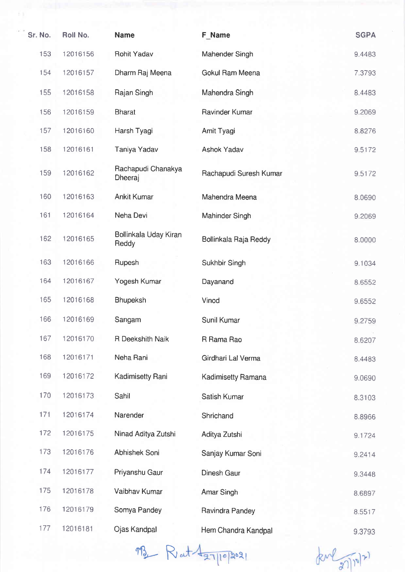| Sr. No. | Roll No. | <b>Name</b>                    | F Name                 | <b>SGPA</b> |
|---------|----------|--------------------------------|------------------------|-------------|
| 153     | 12016156 | <b>Rohit Yadav</b>             | Mahender Singh         | 9.4483      |
| 154     | 12016157 | Dharm Raj Meena                | Gokul Ram Meena        | 7.3793      |
| 155     | 12016158 | Rajan Singh                    | Mahendra Singh         | 8.4483      |
| 156     | 12016159 | <b>Bharat</b>                  | Ravinder Kumar         | 9.2069      |
| 157     | 12016160 | Harsh Tyagi                    | Amit Tyagi             | 8.8276      |
| 158     | 12016161 | Taniya Yadav                   | <b>Ashok Yadav</b>     | 9.5172      |
| 159     | 12016162 | Rachapudi Chanakya<br>Dheeraj  | Rachapudi Suresh Kumar | 9.5172      |
| 160     | 12016163 | <b>Ankit Kumar</b>             | Mahendra Meena         | 8.0690      |
| 161     | 12016164 | Neha Devi                      | Mahinder Singh         | 9.2069      |
| 162     | 12016165 | Bollinkala Uday Kiran<br>Reddy | Bollinkala Raja Reddy  | 8.0000      |
| 163     | 12016166 | Rupesh                         | Sukhbir Singh          | 9.1034      |
| 164     | 12016167 | Yogesh Kumar                   | Dayanand               | 8.6552      |
| 165     | 12016168 | <b>Bhupeksh</b>                | Vinod                  | 9.6552      |
| 166     | 12016169 | Sangam                         | Sunil Kumar            | 9.2759      |
| 167     | 12016170 | R Deekshith Naik               | R Rama Rao             | 8.6207      |
| 168     | 12016171 | Neha Rani                      | Girdhari Lal Verma     | 8.4483      |
| 169     | 12016172 | <b>Kadimisetty Rani</b>        | Kadimisetty Ramana     | 9.0690      |
| 170     | 12016173 | Sahil                          | Satish Kumar           | 8.3103      |
| 171     | 12016174 | Narender                       | Shrichand              | 8.8966      |
| 172     | 12016175 | Ninad Aditya Zutshi            | Aditya Zutshi          | 9.1724      |
| 173     | 12016176 | Abhishek Soni                  | Sanjay Kumar Soni      | 9.2414      |
| 174     | 12016177 | Priyanshu Gaur                 | Dinesh Gaur            | 9.3448      |
| 175     | 12016178 | Vaibhav Kumar                  | Amar Singh             | 8.6897      |
| 176     | 12016179 | Somya Pandey                   | Ravindra Pandey        | 8.5517      |
| 177     | 12016181 | Ojas Kandpal                   | Hem Chandra Kandpal    | 9.3793      |

 $m_1$  $N$  at  $\frac{4}{97||0|}$  202

 $knl_{\mathcal{Z}}\eta_{\lbrack n\rbrack^{\mathcal{Z}}}$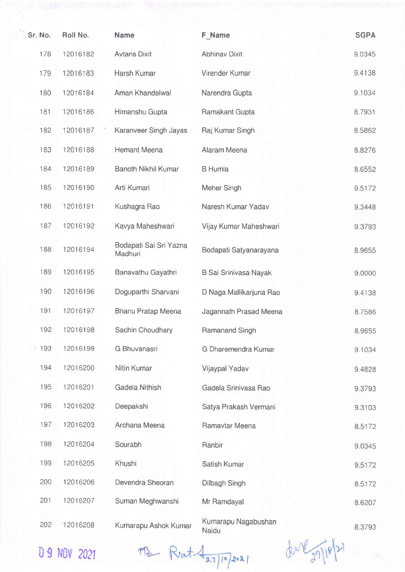| Sr. No. | Roll No. | <b>Name</b>                       | <b>F</b> Name                | <b>SGPA</b> |
|---------|----------|-----------------------------------|------------------------------|-------------|
| 178     | 12016182 | <b>Avtans Dixit</b>               | <b>Abhinav Dixit</b>         | 9.0345      |
| 179     | 12016183 | Harsh Kumar                       | Virender Kumar               | 9.4138      |
| 180     | 12016184 | Aman Khandelwal                   | Narendra Gupta               | 9.1034      |
| 181     | 12016186 | Himanshu Gupta                    | Ramakant Gupta               | 8.7931      |
| 182     | 12016187 | Karanveer Singh Jayas             | Raj Kumar Singh              | 8.5862      |
| 183     | 12016188 | <b>Hemant Meena</b>               | Alaram Meena                 | 8.8276      |
| 184     | 12016189 | <b>Banoth Nikhil Kumar</b>        | <b>B</b> Humla               | 8.6552      |
| 185     | 12016190 | Arti Kumari                       | Meher Singh                  | 9.5172      |
| 186     | 12016191 | Kushagra Rao                      | Naresh Kumar Yadav           | 9.3448      |
| 187     | 12016192 | Kavya Maheshwari                  | Vijay Kumar Maheshwari       | 9.3793      |
| 188     | 12016194 | Bodapati Sai Sri Yazna<br>Madhuri | Bodapati Satyanarayana       | 8.9655      |
| 189     | 12016195 | Banavathu Gayathri                | <b>B Sai Srinivasa Nayak</b> | 9.0000      |
| 190     | 12016196 | Doguparthi Sharvani               | D Naga Mallikarjuna Rao      | 9.4138      |
| 191     | 12016197 | <b>Bhanu Pratap Meena</b>         | Jagannath Prasad Meena       | 8.7586      |
| 192     | 12016198 | Sachin Choudhary                  | Ramanand Singh               | 8.9655      |
| 193     | 12016199 | G Bhuvanasri                      | G Dharemendra Kumar          | 9.1034      |
| 194     | 12016200 | Nitin Kumar                       | Vijaypal Yadav               | 9.4828      |
| 195     | 12016201 | Gadela Nithish                    | Gadela Srinivasa Rao         | 9.3793      |
| 196     | 12016202 | Deepakshi                         | Satya Prakash Vermani        | 9.3103      |
| 197     | 12016203 | Archana Meena                     | Ramavtar Meena               | 8.5172      |
| 198     | 12016204 | Sourabh                           | Ranbir                       | 9.0345      |
| 199     | 12016205 | Khushi                            | Satish Kumar                 | 9.5172      |
| 200     | 12016206 | Devendra Sheoran                  | Dilbagh Singh                | 8.5172      |
| 201     | 12016207 | Suman Meghwanshi                  | Mr Ramdayal                  | 8.6207      |
| 202     | 12016208 | Kumarapu Ashok Kumar              | Kumarapu Nagabushan<br>Naidu | 8.3793      |

0 9 NOV 2021

 $MS_1 + R_2 + 427102021$ 

der 27/10/21